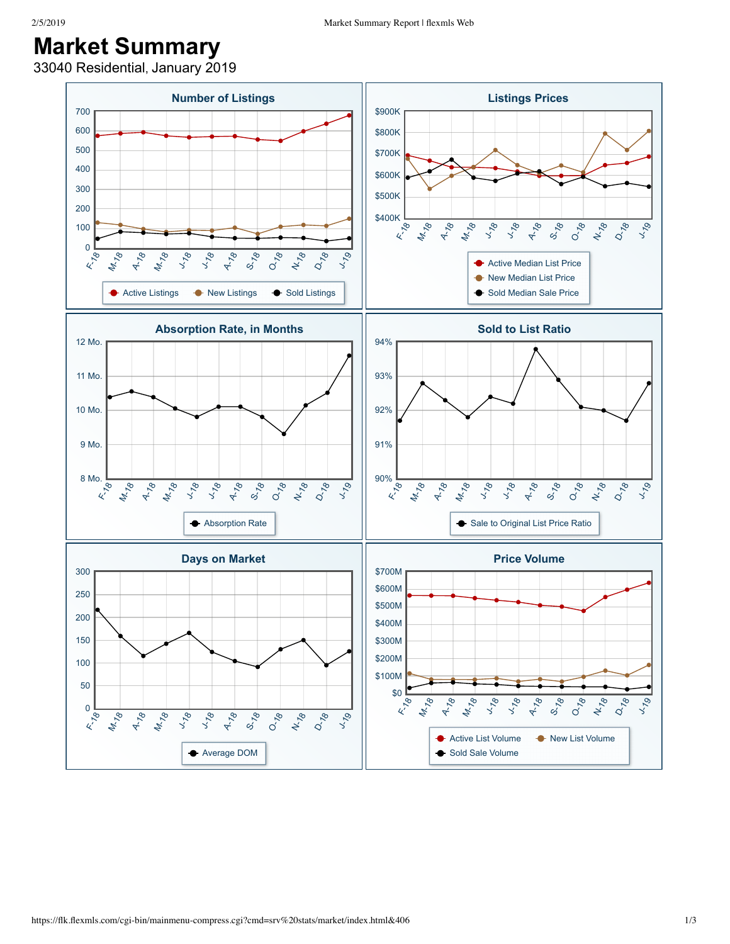## **Market Summary**

33040 Residential, January 2019

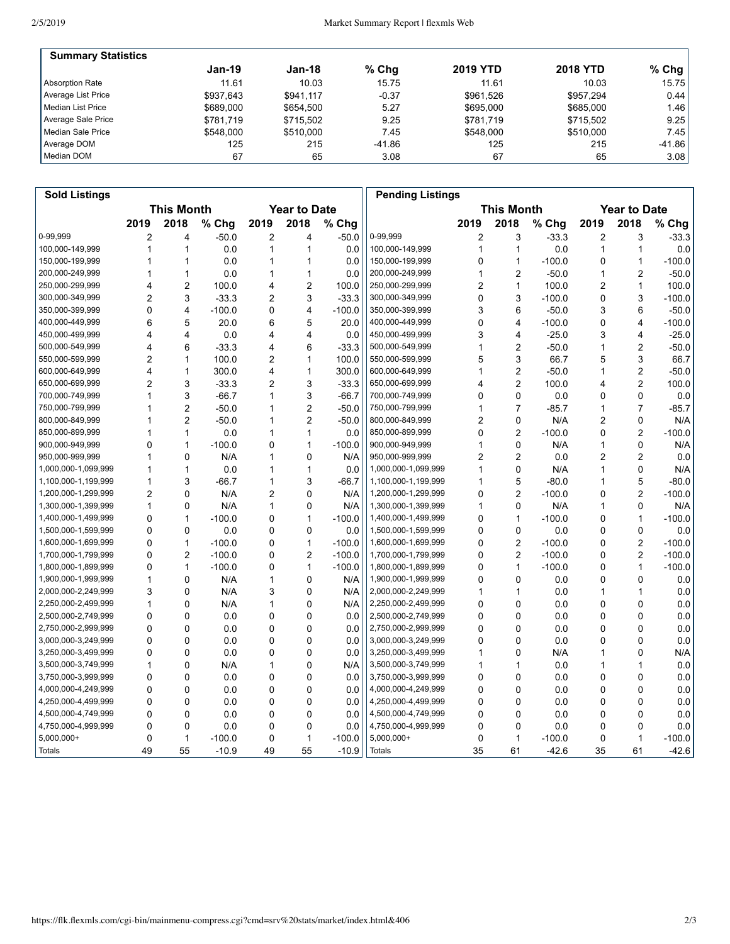| <b>Summary Statistics</b> |           |           |          |                 |                 |           |
|---------------------------|-----------|-----------|----------|-----------------|-----------------|-----------|
|                           | Jan-19    | Jan-18    | $%$ Chg  | <b>2019 YTD</b> | <b>2018 YTD</b> | % Chg $ $ |
| Absorption Rate           | 11.61     | 10.03     | 15.75    | 11.61           | 10.03           | 15.75     |
| Average List Price        | \$937.643 | \$941.117 | $-0.37$  | \$961.526       | \$957.294       | 0.44      |
| Median List Price         | \$689,000 | \$654.500 | 5.27     | \$695,000       | \$685,000       | 1.46      |
| Average Sale Price        | \$781.719 | \$715.502 | 9.25     | \$781.719       | \$715.502       | 9.25      |
| Median Sale Price         | \$548,000 | \$510,000 | 7.45     | \$548,000       | \$510,000       | 7.45      |
| Average DOM               | 125       | 215       | $-41.86$ | 125             | 215             | $-41.86$  |
| Median DOM                | 67        | 65        | 3.08     | 67              | 65              | 3.08      |

| <b>Sold Listings</b> |                |                         |          |                |                     |          | <b>Pending Listings</b> |      |                         |          |      |                     |          |
|----------------------|----------------|-------------------------|----------|----------------|---------------------|----------|-------------------------|------|-------------------------|----------|------|---------------------|----------|
|                      |                | <b>This Month</b>       |          |                | <b>Year to Date</b> |          |                         |      | <b>This Month</b>       |          |      | <b>Year to Date</b> |          |
|                      | 2019           | 2018                    | % Chg    | 2019           | 2018                | % Chg    |                         | 2019 | 2018                    | % Chg    | 2019 | 2018                | % Chg    |
| 0-99,999             | 2              | 4                       | $-50.0$  | $\overline{c}$ | 4                   | $-50.0$  | 0-99,999                | 2    | 3                       | $-33.3$  | 2    | 3                   | $-33.3$  |
| 100,000-149,999      | 1              | 1                       | 0.0      | 1              | 1                   | 0.0      | 100,000-149,999         | 1    | $\mathbf{1}$            | 0.0      | 1    | 1                   | 0.0      |
| 150,000-199,999      | 1              | $\mathbf{1}$            | 0.0      | 1              | 1                   | 0.0      | 150,000-199,999         | 0    | $\mathbf{1}$            | $-100.0$ | 0    | 1                   | $-100.0$ |
| 200,000-249,999      | 1              | $\mathbf{1}$            | 0.0      | 1              | 1                   | 0.0      | 200,000-249,999         | 1    | $\overline{2}$          | $-50.0$  | 1    | 2                   | $-50.0$  |
| 250,000-299,999      | 4              | $\overline{2}$          | 100.0    | 4              | $\overline{2}$      | 100.0    | 250,000-299,999         | 2    | $\mathbf{1}$            | 100.0    | 2    | 1                   | 100.0    |
| 300,000-349,999      | 2              | 3                       | $-33.3$  | 2              | 3                   | $-33.3$  | 300,000-349,999         | 0    | 3                       | $-100.0$ | 0    | 3                   | $-100.0$ |
| 350,000-399,999      | 0              | $\overline{\mathbf{4}}$ | $-100.0$ | 0              | 4                   | $-100.0$ | 350,000-399,999         | 3    | 6                       | $-50.0$  | 3    | 6                   | $-50.0$  |
| 400,000-449,999      | 6              | 5                       | 20.0     | 6              | 5                   | 20.0     | 400,000-449,999         | 0    | $\overline{\mathbf{4}}$ | $-100.0$ | 0    | 4                   | $-100.0$ |
| 450,000-499,999      | 4              | $\overline{\mathbf{4}}$ | 0.0      | 4              | 4                   | 0.0      | 450,000-499,999         | 3    | 4                       | $-25.0$  | 3    | 4                   | $-25.0$  |
| 500,000-549,999      | 4              | 6                       | $-33.3$  | 4              | 6                   | $-33.3$  | 500,000-549,999         | 1    | $\overline{2}$          | $-50.0$  | 1    | 2                   | $-50.0$  |
| 550,000-599,999      | 2              | $\mathbf{1}$            | 100.0    | 2              | 1                   | 100.0    | 550,000-599,999         | 5    | 3                       | 66.7     | 5    | 3                   | 66.7     |
| 600,000-649,999      | 4              | $\mathbf{1}$            | 300.0    | 4              | 1                   | 300.0    | 600,000-649,999         | 1    | $\overline{2}$          | $-50.0$  | 1    | 2                   | $-50.0$  |
| 650,000-699,999      | $\overline{2}$ | 3                       | $-33.3$  | $\overline{2}$ | 3                   | $-33.3$  | 650,000-699,999         | 4    | $\overline{2}$          | 100.0    | 4    | 2                   | 100.0    |
| 700,000-749,999      | 1              | 3                       | $-66.7$  | 1              | 3                   | $-66.7$  | 700,000-749,999         | 0    | $\mathbf 0$             | 0.0      | 0    | 0                   | 0.0      |
| 750,000-799,999      | 1              | $\overline{2}$          | $-50.0$  | 1              | $\overline{2}$      | $-50.0$  | 750,000-799,999         | 1    | $\overline{7}$          | $-85.7$  | 1    | $\overline{7}$      | $-85.7$  |
| 800,000-849,999      |                | $\overline{2}$          | $-50.0$  | 1              | $\overline{2}$      | $-50.0$  | 800,000-849,999         | 2    | $\mathbf 0$             | N/A      | 2    | 0                   | N/A      |
| 850,000-899,999      | 1              | $\mathbf{1}$            | 0.0      | 1              | 1                   | 0.0      | 850,000-899,999         | 0    | $\overline{c}$          | $-100.0$ | 0    | $\overline{c}$      | $-100.0$ |
| 900,000-949,999      | 0              | 1                       | $-100.0$ | 0              | 1                   | $-100.0$ | 900,000-949,999         | 1    | 0                       | N/A      | 1    | 0                   | N/A      |
| 950,000-999,999      | 1              | 0                       | N/A      | 1              | 0                   | N/A      | 950,000-999,999         | 2    | $\overline{2}$          | 0.0      | 2    | $\overline{c}$      | 0.0      |
| 1,000,000-1,099,999  | 1              | $\mathbf{1}$            | 0.0      | 1              | $\mathbf{1}$        | 0.0      | 1,000,000-1,099,999     | 1    | $\mathbf 0$             | N/A      | 1    | 0                   | N/A      |
| 1,100,000-1,199,999  | 1              | 3                       | $-66.7$  | 1              | 3                   | $-66.7$  | 1,100,000-1,199,999     | 1    | 5                       | $-80.0$  | 1    | 5                   | $-80.0$  |
| 1,200,000-1,299,999  | $\overline{2}$ | $\mathbf 0$             | N/A      | $\overline{2}$ | 0                   | N/A      | 1,200,000-1,299,999     | 0    | $\overline{c}$          | $-100.0$ | 0    | $\overline{c}$      | $-100.0$ |
| 1,300,000-1,399,999  | 1              | 0                       | N/A      | 1              | 0                   | N/A      | 1,300,000-1,399,999     | 1    | 0                       | N/A      | 1    | 0                   | N/A      |
| 1,400,000-1,499,999  | 0              | $\mathbf{1}$            | $-100.0$ | 0              | $\mathbf{1}$        | $-100.0$ | 1,400,000-1,499,999     | 0    | $\mathbf{1}$            | $-100.0$ | 0    | 1                   | $-100.0$ |
| 1,500,000-1,599,999  | 0              | $\Omega$                | 0.0      | 0              | $\Omega$            | 0.0      | 1,500,000-1,599,999     | 0    | $\Omega$                | 0.0      | 0    | 0                   | 0.0      |
| 1,600,000-1,699,999  | 0              | $\mathbf{1}$            | $-100.0$ | 0              | 1                   | $-100.0$ | 1,600,000-1,699,999     | 0    | $\overline{2}$          | $-100.0$ | 0    | $\overline{c}$      | $-100.0$ |
| 1,700,000-1,799,999  | 0              | $\overline{2}$          | $-100.0$ | 0              | $\overline{2}$      | $-100.0$ | 1,700,000-1,799,999     | 0    | $\overline{2}$          | $-100.0$ | 0    | $\overline{c}$      | $-100.0$ |
| 1,800,000-1,899,999  | 0              | $\mathbf{1}$            | $-100.0$ | 0              | 1                   | $-100.0$ | 1,800,000-1,899,999     | 0    | 1                       | $-100.0$ | 0    | 1                   | $-100.0$ |
| 1,900,000-1,999,999  | 1              | 0                       | N/A      | 1              | 0                   | N/A      | 1,900,000-1,999,999     | 0    | $\mathbf 0$             | 0.0      | 0    | 0                   | 0.0      |
| 2,000,000-2,249,999  | 3              | $\mathbf 0$             | N/A      | 3              | $\mathbf 0$         | N/A      | 2,000,000-2,249,999     | 1    | $\mathbf{1}$            | 0.0      | 1    | 1                   | 0.0      |
| 2,250,000-2,499,999  | 1              | $\Omega$                | N/A      | 1              | $\mathbf 0$         | N/A      | 2,250,000-2,499,999     | 0    | $\Omega$                | 0.0      | 0    | 0                   | 0.0      |
| 2,500,000-2,749,999  | 0              | $\Omega$                | 0.0      | 0              | $\mathbf 0$         | 0.0      | 2,500,000-2,749,999     | 0    | 0                       | 0.0      | 0    | 0                   | 0.0      |
| 2,750,000-2,999,999  | 0              | $\mathbf 0$             | 0.0      | 0              | 0                   | 0.0      | 2,750,000-2,999,999     | 0    | $\mathbf 0$             | 0.0      | 0    | 0                   | 0.0      |
| 3,000,000-3,249,999  | 0              | $\mathbf 0$             | 0.0      | 0              | 0                   | 0.0      | 3,000,000-3,249,999     | 0    | $\mathbf 0$             | 0.0      | 0    | 0                   | 0.0      |
| 3,250,000-3,499,999  | 0              | $\mathbf 0$             | 0.0      | 0              | 0                   | 0.0      | 3,250,000-3,499,999     | 1    | 0                       | N/A      | 1    | $\mathbf 0$         | N/A      |
| 3,500,000-3,749,999  | 1              | 0                       | N/A      | 1              | 0                   | N/A      | 3,500,000-3,749,999     | 1    | $\mathbf{1}$            | 0.0      | 1    | 1                   | 0.0      |
| 3,750,000-3,999,999  | 0              | $\Omega$                | 0.0      | 0              | $\Omega$            | 0.0      | 3,750,000-3,999,999     | 0    | 0                       | 0.0      | 0    | $\mathbf 0$         | 0.0      |
| 4,000,000-4,249,999  | 0              | $\Omega$                | 0.0      | 0              | $\mathbf 0$         | 0.0      | 4,000,000-4,249,999     | 0    | $\mathbf 0$             | 0.0      | 0    | 0                   | 0.0      |
| 4,250,000-4,499,999  | 0              | $\mathbf 0$             | 0.0      | 0              | 0                   | 0.0      | 4,250,000-4,499,999     | 0    | $\mathbf 0$             | 0.0      | 0    | $\mathbf 0$         | 0.0      |
| 4,500,000-4,749,999  | $\mathbf 0$    | $\mathbf 0$             | 0.0      | 0              | 0                   | 0.0      | 4,500,000-4,749,999     | 0    | 0                       | 0.0      | 0    | 0                   | 0.0      |
| 4,750,000-4,999,999  | 0              | 0                       | 0.0      | 0              | 0                   | 0.0      | 4,750,000-4,999,999     | 0    | 0                       | 0.0      | 0    | 0                   | 0.0      |
| 5,000,000+           | 0              | $\mathbf{1}$            | $-100.0$ | 0              | 1                   | $-100.0$ | 5,000,000+              | 0    | $\mathbf{1}$            | $-100.0$ | 0    | 1                   | $-100.0$ |
| Totals               | 49             | 55                      | $-10.9$  | 49             | 55                  | $-10.9$  | <b>Totals</b>           | 35   | 61                      | $-42.6$  | 35   | 61                  | $-42.6$  |